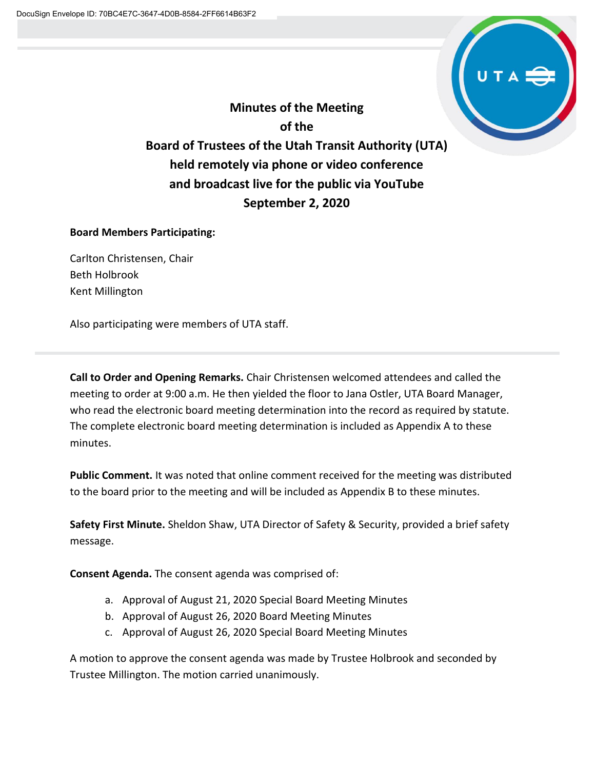

**Minutes of the Meeting of the Board of Trustees of the Utah Transit Authority (UTA) held remotely via phone or video conference and broadcast live for the public via YouTube September 2, 2020**

# **Board Members Participating:**

Carlton Christensen, Chair Beth Holbrook Kent Millington

Also participating were members of UTA staff.

**Call to Order and Opening Remarks.** Chair Christensen welcomed attendees and called the meeting to order at 9:00 a.m. He then yielded the floor to Jana Ostler, UTA Board Manager, who read the electronic board meeting determination into the record as required by statute. The complete electronic board meeting determination is included as Appendix A to these minutes.

**Public Comment.** It was noted that online comment received for the meeting was distributed to the board prior to the meeting and will be included as Appendix B to these minutes.

**Safety First Minute.** Sheldon Shaw, UTA Director of Safety & Security, provided a brief safety message.

**Consent Agenda.** The consent agenda was comprised of:

- a. Approval of August 21, 2020 Special Board Meeting Minutes
- b. Approval of August 26, 2020 Board Meeting Minutes
- c. Approval of August 26, 2020 Special Board Meeting Minutes

A motion to approve the consent agenda was made by Trustee Holbrook and seconded by Trustee Millington. The motion carried unanimously.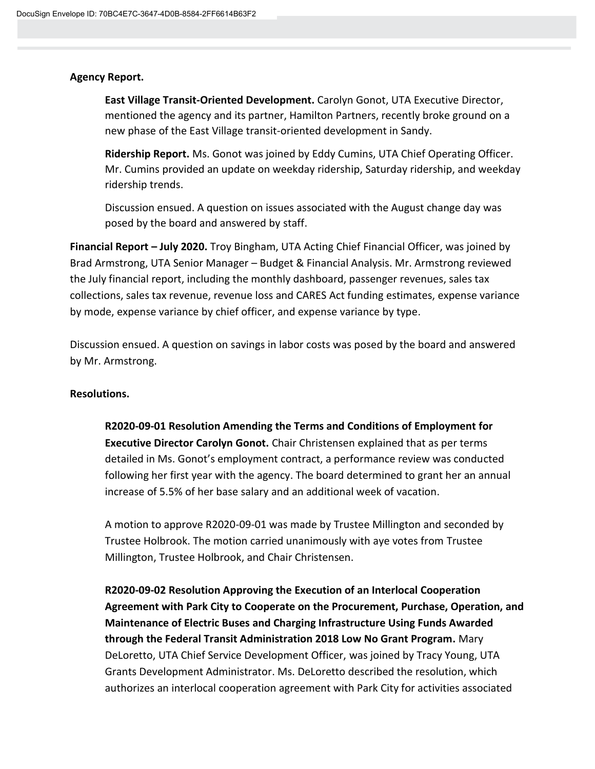# **Agency Report.**

**East Village Transit-Oriented Development.** Carolyn Gonot, UTA Executive Director, mentioned the agency and its partner, Hamilton Partners, recently broke ground on a new phase of the East Village transit-oriented development in Sandy.

**Ridership Report.** Ms. Gonot was joined by Eddy Cumins, UTA Chief Operating Officer. Mr. Cumins provided an update on weekday ridership, Saturday ridership, and weekday ridership trends.

Discussion ensued. A question on issues associated with the August change day was posed by the board and answered by staff.

**Financial Report – July 2020.** Troy Bingham, UTA Acting Chief Financial Officer, was joined by Brad Armstrong, UTA Senior Manager – Budget & Financial Analysis. Mr. Armstrong reviewed the July financial report, including the monthly dashboard, passenger revenues, sales tax collections, sales tax revenue, revenue loss and CARES Act funding estimates, expense variance by mode, expense variance by chief officer, and expense variance by type.

Discussion ensued. A question on savings in labor costs was posed by the board and answered by Mr. Armstrong.

# **Resolutions.**

**R2020-09-01 Resolution Amending the Terms and Conditions of Employment for Executive Director Carolyn Gonot.** Chair Christensen explained that as per terms detailed in Ms. Gonot's employment contract, a performance review was conducted following her first year with the agency. The board determined to grant her an annual increase of 5.5% of her base salary and an additional week of vacation.

A motion to approve R2020-09-01 was made by Trustee Millington and seconded by Trustee Holbrook. The motion carried unanimously with aye votes from Trustee Millington, Trustee Holbrook, and Chair Christensen.

**R2020-09-02 Resolution Approving the Execution of an Interlocal Cooperation Agreement with Park City to Cooperate on the Procurement, Purchase, Operation, and Maintenance of Electric Buses and Charging Infrastructure Using Funds Awarded through the Federal Transit Administration 2018 Low No Grant Program.** Mary DeLoretto, UTA Chief Service Development Officer, was joined by Tracy Young, UTA Grants Development Administrator. Ms. DeLoretto described the resolution, which authorizes an interlocal cooperation agreement with Park City for activities associated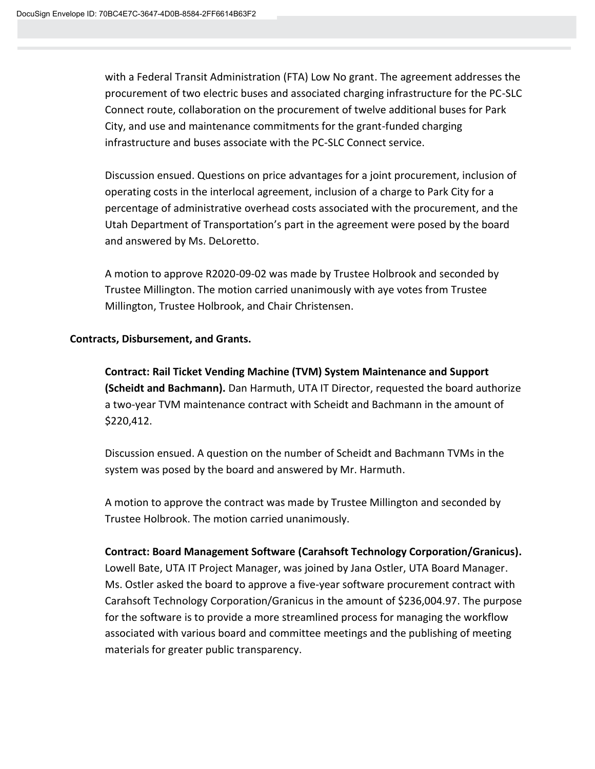with a Federal Transit Administration (FTA) Low No grant. The agreement addresses the procurement of two electric buses and associated charging infrastructure for the PC-SLC Connect route, collaboration on the procurement of twelve additional buses for Park City, and use and maintenance commitments for the grant-funded charging infrastructure and buses associate with the PC-SLC Connect service.

Discussion ensued. Questions on price advantages for a joint procurement, inclusion of operating costs in the interlocal agreement, inclusion of a charge to Park City for a percentage of administrative overhead costs associated with the procurement, and the Utah Department of Transportation's part in the agreement were posed by the board and answered by Ms. DeLoretto.

A motion to approve R2020-09-02 was made by Trustee Holbrook and seconded by Trustee Millington. The motion carried unanimously with aye votes from Trustee Millington, Trustee Holbrook, and Chair Christensen.

# **Contracts, Disbursement, and Grants.**

**Contract: Rail Ticket Vending Machine (TVM) System Maintenance and Support (Scheidt and Bachmann).** Dan Harmuth, UTA IT Director, requested the board authorize a two-year TVM maintenance contract with Scheidt and Bachmann in the amount of \$220,412.

Discussion ensued. A question on the number of Scheidt and Bachmann TVMs in the system was posed by the board and answered by Mr. Harmuth.

A motion to approve the contract was made by Trustee Millington and seconded by Trustee Holbrook. The motion carried unanimously.

# **Contract: Board Management Software (Carahsoft Technology Corporation/Granicus).**

Lowell Bate, UTA IT Project Manager, was joined by Jana Ostler, UTA Board Manager. Ms. Ostler asked the board to approve a five-year software procurement contract with Carahsoft Technology Corporation/Granicus in the amount of \$236,004.97. The purpose for the software is to provide a more streamlined process for managing the workflow associated with various board and committee meetings and the publishing of meeting materials for greater public transparency.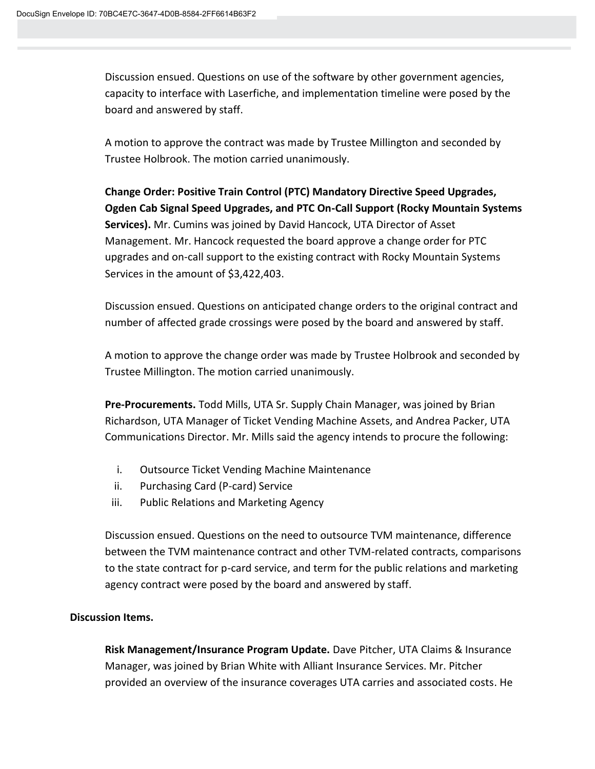Discussion ensued. Questions on use of the software by other government agencies, capacity to interface with Laserfiche, and implementation timeline were posed by the board and answered by staff.

A motion to approve the contract was made by Trustee Millington and seconded by Trustee Holbrook. The motion carried unanimously.

**Change Order: Positive Train Control (PTC) Mandatory Directive Speed Upgrades, Ogden Cab Signal Speed Upgrades, and PTC On-Call Support (Rocky Mountain Systems Services).** Mr. Cumins was joined by David Hancock, UTA Director of Asset Management. Mr. Hancock requested the board approve a change order for PTC upgrades and on-call support to the existing contract with Rocky Mountain Systems Services in the amount of \$3,422,403.

Discussion ensued. Questions on anticipated change orders to the original contract and number of affected grade crossings were posed by the board and answered by staff.

A motion to approve the change order was made by Trustee Holbrook and seconded by Trustee Millington. The motion carried unanimously.

**Pre-Procurements.** Todd Mills, UTA Sr. Supply Chain Manager, was joined by Brian Richardson, UTA Manager of Ticket Vending Machine Assets, and Andrea Packer, UTA Communications Director. Mr. Mills said the agency intends to procure the following:

- i. Outsource Ticket Vending Machine Maintenance
- ii. Purchasing Card (P-card) Service
- iii. Public Relations and Marketing Agency

Discussion ensued. Questions on the need to outsource TVM maintenance, difference between the TVM maintenance contract and other TVM-related contracts, comparisons to the state contract for p-card service, and term for the public relations and marketing agency contract were posed by the board and answered by staff.

# **Discussion Items.**

**Risk Management/Insurance Program Update.** Dave Pitcher, UTA Claims & Insurance Manager, was joined by Brian White with Alliant Insurance Services. Mr. Pitcher provided an overview of the insurance coverages UTA carries and associated costs. He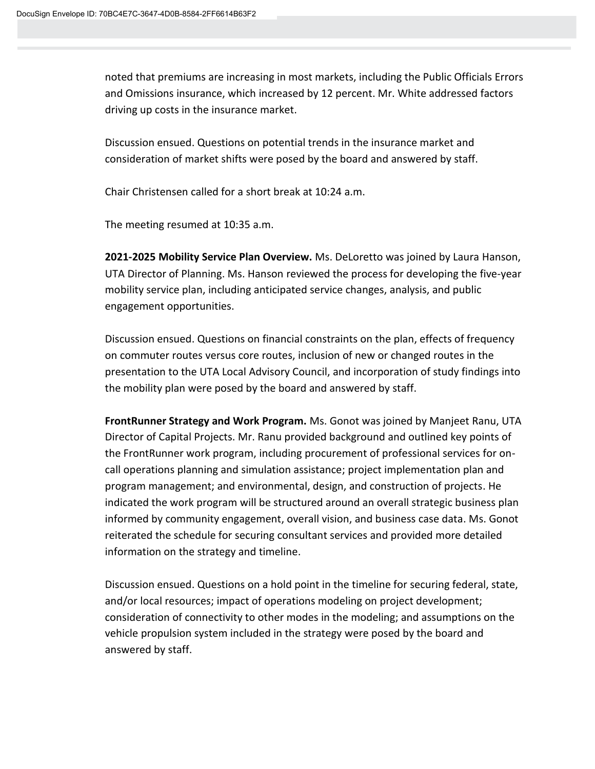noted that premiums are increasing in most markets, including the Public Officials Errors and Omissions insurance, which increased by 12 percent. Mr. White addressed factors driving up costs in the insurance market.

Discussion ensued. Questions on potential trends in the insurance market and consideration of market shifts were posed by the board and answered by staff.

Chair Christensen called for a short break at 10:24 a.m.

The meeting resumed at 10:35 a.m.

**2021-2025 Mobility Service Plan Overview.** Ms. DeLoretto was joined by Laura Hanson, UTA Director of Planning. Ms. Hanson reviewed the process for developing the five-year mobility service plan, including anticipated service changes, analysis, and public engagement opportunities.

Discussion ensued. Questions on financial constraints on the plan, effects of frequency on commuter routes versus core routes, inclusion of new or changed routes in the presentation to the UTA Local Advisory Council, and incorporation of study findings into the mobility plan were posed by the board and answered by staff.

**FrontRunner Strategy and Work Program.** Ms. Gonot was joined by Manjeet Ranu, UTA Director of Capital Projects. Mr. Ranu provided background and outlined key points of the FrontRunner work program, including procurement of professional services for oncall operations planning and simulation assistance; project implementation plan and program management; and environmental, design, and construction of projects. He indicated the work program will be structured around an overall strategic business plan informed by community engagement, overall vision, and business case data. Ms. Gonot reiterated the schedule for securing consultant services and provided more detailed information on the strategy and timeline.

Discussion ensued. Questions on a hold point in the timeline for securing federal, state, and/or local resources; impact of operations modeling on project development; consideration of connectivity to other modes in the modeling; and assumptions on the vehicle propulsion system included in the strategy were posed by the board and answered by staff.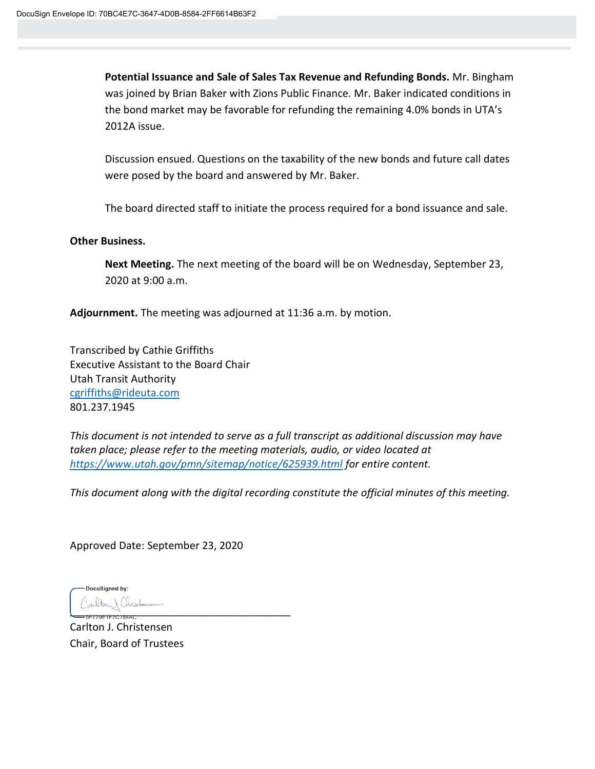**Potential Issuance and Sale of Sales Tax Revenue and Refunding Bonds.** Mr. Bingham was joined by Brian Baker with Zions Public Finance. Mr. Baker indicated conditions in the bond market may be favorable for refunding the remaining 4.0% bonds in UTA's 2012A issue.

Discussion ensued. Questions on the taxability of the new bonds and future call dates were posed by the board and answered by Mr. Baker.

The board directed staff to initiate the process required for a bond issuance and sale.

### **Other Business.**

**Next Meeting.** The next meeting of the board will be on Wednesday, September 23, 2020 at 9:00 a.m.

**Adjournment.** The meeting was adjourned at 11:36 a.m. by motion.

Transcribed by Cathie Griffiths Executive Assistant to the Board Chair Utah Transit Authority [cgriffiths@rideuta.com](mailto:cgriffiths@rideuta.com) 801.237.1945

*This document is not intended to serve as a full transcript as additional discussion may have taken place; please refer to the meeting materials, audio, or video located at <https://www.utah.gov/pmn/sitemap/notice/625939.html> for entire content.*

*This document along with the digital recording constitute the official minutes of this meeting.*

Approved Date: September 23, 2020

DocuSigned by:  $\frac{1}{2}$ 

Carlton J. Christensen Chair, Board of Trustees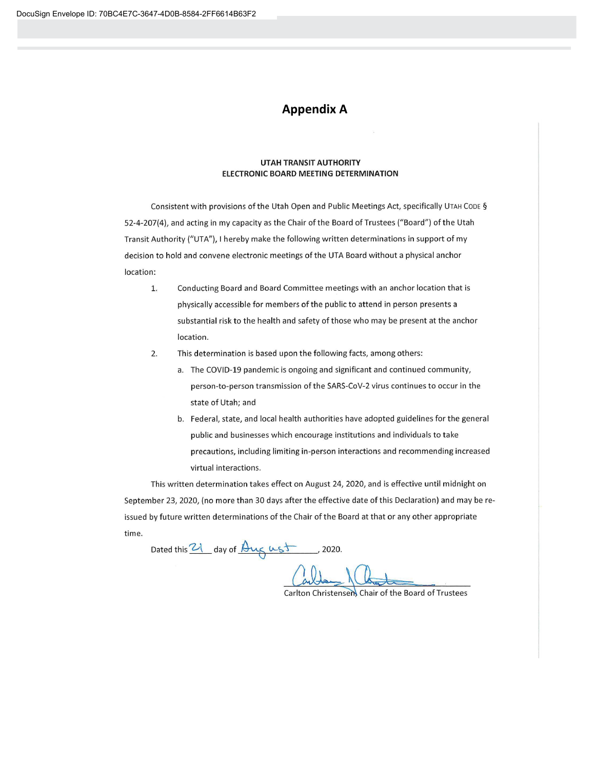# **Appendix A**

#### **UTAH TRANSIT AUTHORITY** ELECTRONIC BOARD MEETING DETERMINATION

Consistent with provisions of the Utah Open and Public Meetings Act, specifically UTAH CODE § 52-4-207(4), and acting in my capacity as the Chair of the Board of Trustees ("Board") of the Utah Transit Authority ("UTA"), I hereby make the following written determinations in support of my decision to hold and convene electronic meetings of the UTA Board without a physical anchor location:

- 1. Conducting Board and Board Committee meetings with an anchor location that is physically accessible for members of the public to attend in person presents a substantial risk to the health and safety of those who may be present at the anchor location.
- $2.$ This determination is based upon the following facts, among others:
	- a. The COVID-19 pandemic is ongoing and significant and continued community, person-to-person transmission of the SARS-CoV-2 virus continues to occur in the state of Utah; and
	- b. Federal, state, and local health authorities have adopted guidelines for the general public and businesses which encourage institutions and individuals to take precautions, including limiting in-person interactions and recommending increased virtual interactions.

This written determination takes effect on August 24, 2020, and is effective until midnight on September 23, 2020, (no more than 30 days after the effective date of this Declaration) and may be reissued by future written determinations of the Chair of the Board at that or any other appropriate time.

Dated this 21 day of Aug ust , 2020.

Carlton Christensen Chair of the Board of Trustees